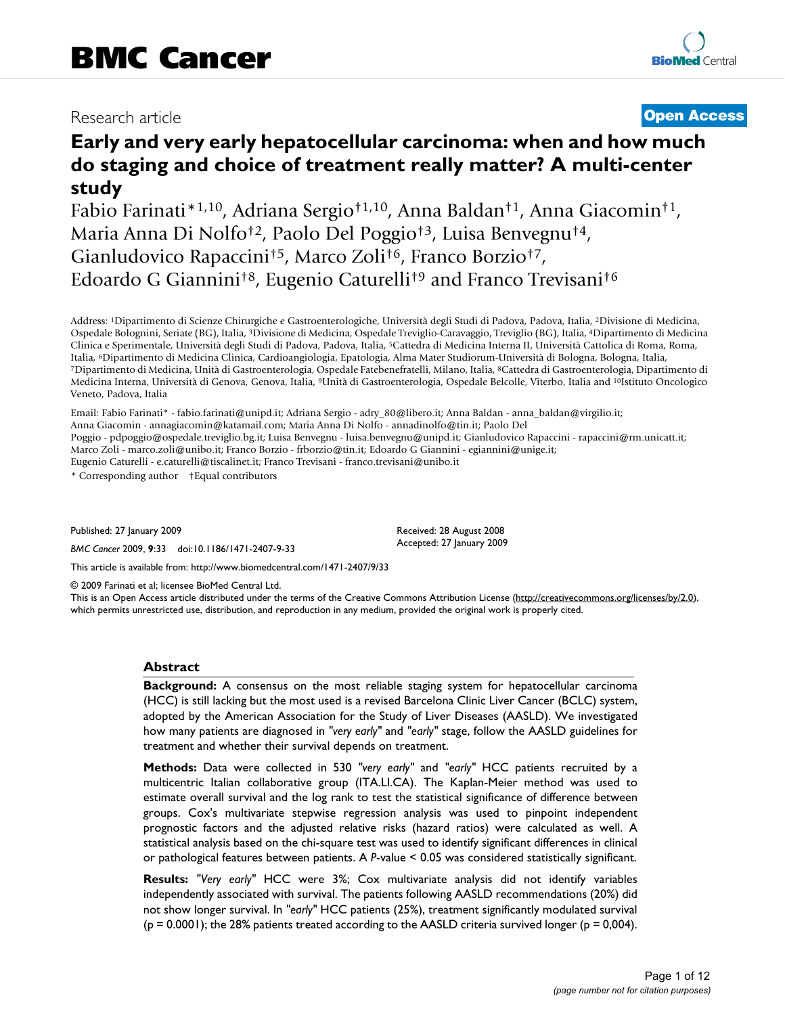# Research article **[Open Access](http://www.biomedcentral.com/info/about/charter/)**

# **Early and very early hepatocellular carcinoma: when and how much do staging and choice of treatment really matter? A multi-center study**

Fabio Farinati\*1,10, Adriana Sergio†1,10, Anna Baldan†1, Anna Giacomin†1, Maria Anna Di Nolfo†2, Paolo Del Poggio†3, Luisa Benvegnu†4, Gianludovico Rapaccini†5, Marco Zoli†6, Franco Borzio†7, Edoardo G Giannini†8, Eugenio Caturelli†9 and Franco Trevisani†6

Address: 1Dipartimento di Scienze Chirurgiche e Gastroenterologiche, Università degli Studi di Padova, Padova, Italia, 2Divisione di Medicina, Ospedale Bolognini, Seriate (BG), Italia, 3Divisione di Medicina, Ospedale Treviglio-Caravaggio, Treviglio (BG), Italia, 4Dipartimento di Medicina Clinica e Sperimentale, Università degli Studi di Padova, Padova, Italia, 5Cattedra di Medicina Interna II, Università Cattolica di Roma, Roma, Italia, <sup>6</sup>Dipartimento di Medicina Clinica, Cardioangiologia, Epatologia, Alma Mater Studiorum-Università di Bologna, Bologna, Italia,<br><sup>7</sup>Dipartimento di Medicina, Unità di Gastroenterologia, Ospedale Fatebenefratelli, Mi Medicina Interna, Università di Genova, Genova, Italia, 9Unità di Gastroenterologia, Ospedale Belcolle, Viterbo, Italia and 10Istituto Oncologico Veneto, Padova, Italia

Email: Fabio Farinati\* - fabio.farinati@unipd.it; Adriana Sergio - adry\_80@libero.it; Anna Baldan - anna\_baldan@virgilio.it; Anna Giacomin - annagiacomin@katamail.com; Maria Anna Di Nolfo - annadinolfo@tin.it; Paolo Del Poggio - pdpoggio@ospedale.treviglio.bg.it; Luisa Benvegnu - luisa.benvegnu@unipd.it; Gianludovico Rapaccini - rapaccini@rm.unicatt.it; Marco Zoli - marco.zoli@unibo.it; Franco Borzio - frborzio@tin.it; Edoardo G Giannini - egiannini@unige.it; Eugenio Caturelli - e.caturelli@tiscalinet.it; Franco Trevisani - franco.trevisani@unibo.it

\* Corresponding author †Equal contributors

Published: 27 January 2009

*BMC Cancer* 2009, **9**:33 doi:10.1186/1471-2407-9-33

Received: 28 August 2008 Accepted: 27 January 2009

[This article is available from: http://www.biomedcentral.com/1471-2407/9/33](http://www.biomedcentral.com/1471-2407/9/33)

© 2009 Farinati et al; licensee BioMed Central Ltd.

This is an Open Access article distributed under the terms of the Creative Commons Attribution License [\(http://creativecommons.org/licenses/by/2.0\)](http://creativecommons.org/licenses/by/2.0), which permits unrestricted use, distribution, and reproduction in any medium, provided the original work is properly cited.

#### **Abstract**

**Background:** A consensus on the most reliable staging system for hepatocellular carcinoma (HCC) is still lacking but the most used is a revised Barcelona Clinic Liver Cancer (BCLC) system, adopted by the American Association for the Study of Liver Diseases (AASLD). We investigated how many patients are diagnosed in *"very early"* and *"early"* stage, follow the AASLD guidelines for treatment and whether their survival depends on treatment.

**Methods:** Data were collected in 530 *"very early"* and *"early"* HCC patients recruited by a multicentric Italian collaborative group (ITA.LI.CA). The Kaplan-Meier method was used to estimate overall survival and the log rank to test the statistical significance of difference between groups. Cox's multivariate stepwise regression analysis was used to pinpoint independent prognostic factors and the adjusted relative risks (hazard ratios) were calculated as well. A statistical analysis based on the chi-square test was used to identify significant differences in clinical or pathological features between patients. A *P*-value < 0.05 was considered statistically significant.

**Results:** *"Very early"* HCC were 3%; Cox multivariate analysis did not identify variables independently associated with survival. The patients following AASLD recommendations (20%) did not show longer survival. In *"early"* HCC patients (25%), treatment significantly modulated survival  $(p = 0.0001)$ ; the 28% patients treated according to the AASLD criteria survived longer  $(p = 0.004)$ .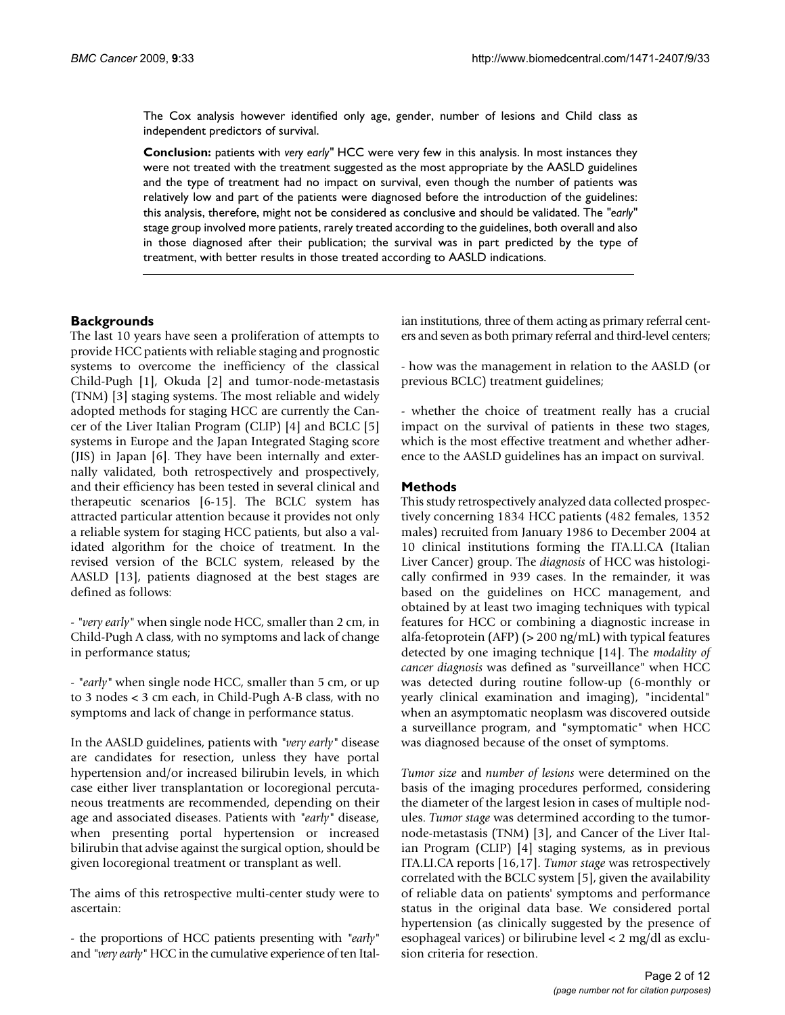The Cox analysis however identified only age, gender, number of lesions and Child class as independent predictors of survival.

**Conclusion:** patients with *very early"* HCC were very few in this analysis. In most instances they were not treated with the treatment suggested as the most appropriate by the AASLD guidelines and the type of treatment had no impact on survival, even though the number of patients was relatively low and part of the patients were diagnosed before the introduction of the guidelines: this analysis, therefore, might not be considered as conclusive and should be validated. The *"early"* stage group involved more patients, rarely treated according to the guidelines, both overall and also in those diagnosed after their publication; the survival was in part predicted by the type of treatment, with better results in those treated according to AASLD indications.

#### **Backgrounds**

The last 10 years have seen a proliferation of attempts to provide HCC patients with reliable staging and prognostic systems to overcome the inefficiency of the classical Child-Pugh [1], Okuda [2] and tumor-node-metastasis (TNM) [3] staging systems. The most reliable and widely adopted methods for staging HCC are currently the Cancer of the Liver Italian Program (CLIP) [4] and BCLC [5] systems in Europe and the Japan Integrated Staging score (JIS) in Japan [6]. They have been internally and externally validated, both retrospectively and prospectively, and their efficiency has been tested in several clinical and therapeutic scenarios [6-15]. The BCLC system has attracted particular attention because it provides not only a reliable system for staging HCC patients, but also a validated algorithm for the choice of treatment. In the revised version of the BCLC system, released by the AASLD [13], patients diagnosed at the best stages are defined as follows:

- *"very early"* when single node HCC, smaller than 2 cm, in Child-Pugh A class, with no symptoms and lack of change in performance status;

- *"early"* when single node HCC, smaller than 5 cm, or up to 3 nodes < 3 cm each, in Child-Pugh A-B class, with no symptoms and lack of change in performance status.

In the AASLD guidelines, patients with *"very early"* disease are candidates for resection, unless they have portal hypertension and/or increased bilirubin levels, in which case either liver transplantation or locoregional percutaneous treatments are recommended, depending on their age and associated diseases. Patients with *"early"* disease, when presenting portal hypertension or increased bilirubin that advise against the surgical option, should be given locoregional treatment or transplant as well.

The aims of this retrospective multi-center study were to ascertain:

- the proportions of HCC patients presenting with *"early"* and *"very early"* HCC in the cumulative experience of ten Italian institutions, three of them acting as primary referral centers and seven as both primary referral and third-level centers;

- how was the management in relation to the AASLD (or previous BCLC) treatment guidelines;

- whether the choice of treatment really has a crucial impact on the survival of patients in these two stages, which is the most effective treatment and whether adherence to the AASLD guidelines has an impact on survival.

### **Methods**

This study retrospectively analyzed data collected prospectively concerning 1834 HCC patients (482 females, 1352 males) recruited from January 1986 to December 2004 at 10 clinical institutions forming the ITA.LI.CA (Italian Liver Cancer) group. The *diagnosis* of HCC was histologically confirmed in 939 cases. In the remainder, it was based on the guidelines on HCC management, and obtained by at least two imaging techniques with typical features for HCC or combining a diagnostic increase in alfa-fetoprotein (AFP) (> 200 ng/mL) with typical features detected by one imaging technique [14]. The *modality of cancer diagnosis* was defined as "surveillance" when HCC was detected during routine follow-up (6-monthly or yearly clinical examination and imaging), "incidental" when an asymptomatic neoplasm was discovered outside a surveillance program, and "symptomatic" when HCC was diagnosed because of the onset of symptoms.

*Tumor size* and *number of lesions* were determined on the basis of the imaging procedures performed, considering the diameter of the largest lesion in cases of multiple nodules. *Tumor stage* was determined according to the tumornode-metastasis (TNM) [3], and Cancer of the Liver Italian Program (CLIP) [4] staging systems, as in previous ITA.LI.CA reports [16,17]. *Tumor stage* was retrospectively correlated with the BCLC system [5], given the availability of reliable data on patients' symptoms and performance status in the original data base. We considered portal hypertension (as clinically suggested by the presence of esophageal varices) or bilirubine level < 2 mg/dl as exclusion criteria for resection.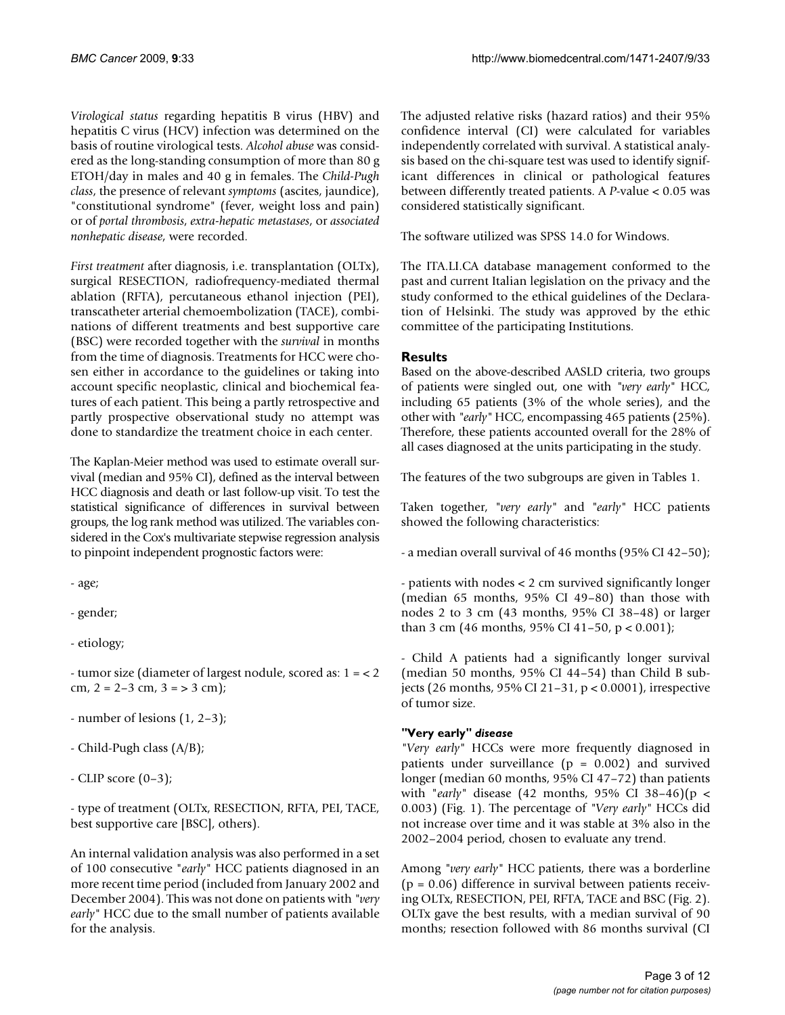*Virological status* regarding hepatitis B virus (HBV) and hepatitis C virus (HCV) infection was determined on the basis of routine virological tests. *Alcohol abuse* was considered as the long-standing consumption of more than 80 g ETOH/day in males and 40 g in females. The *Child-Pugh class*, the presence of relevant *symptoms* (ascites, jaundice), "constitutional syndrome" (fever, weight loss and pain) or of *portal thrombosis*, *extra-hepatic metastases*, or *associated nonhepatic disease*, were recorded.

*First treatment* after diagnosis, i.e. transplantation (OLTx), surgical RESECTION, radiofrequency-mediated thermal ablation (RFTA), percutaneous ethanol injection (PEI), transcatheter arterial chemoembolization (TACE), combinations of different treatments and best supportive care (BSC) were recorded together with the *survival* in months from the time of diagnosis. Treatments for HCC were chosen either in accordance to the guidelines or taking into account specific neoplastic, clinical and biochemical features of each patient. This being a partly retrospective and partly prospective observational study no attempt was done to standardize the treatment choice in each center.

The Kaplan-Meier method was used to estimate overall survival (median and 95% CI), defined as the interval between HCC diagnosis and death or last follow-up visit. To test the statistical significance of differences in survival between groups, the log rank method was utilized. The variables considered in the Cox's multivariate stepwise regression analysis to pinpoint independent prognostic factors were:

- age;

- gender;
- etiology;

- tumor size (diameter of largest nodule, scored as: 1 = < 2 cm,  $2 = 2 - 3$  cm,  $3 = 3$  cm);

- number of lesions (1, 2–3);
- Child-Pugh class (A/B);
- CLIP score (0–3);

- type of treatment (OLTx, RESECTION, RFTA, PEI, TACE, best supportive care [BSC], others).

An internal validation analysis was also performed in a set of 100 consecutive "*early"* HCC patients diagnosed in an more recent time period (included from January 2002 and December 2004). This was not done on patients with *"very early"* HCC due to the small number of patients available for the analysis.

The adjusted relative risks (hazard ratios) and their 95% confidence interval (CI) were calculated for variables independently correlated with survival. A statistical analysis based on the chi-square test was used to identify significant differences in clinical or pathological features between differently treated patients. A *P*-value < 0.05 was considered statistically significant.

The software utilized was SPSS 14.0 for Windows.

The ITA.LI.CA database management conformed to the past and current Italian legislation on the privacy and the study conformed to the ethical guidelines of the Declaration of Helsinki. The study was approved by the ethic committee of the participating Institutions.

# **Results**

Based on the above-described AASLD criteria, two groups of patients were singled out, one with *"very early"* HCC, including 65 patients (3% of the whole series), and the other with *"early"* HCC, encompassing 465 patients (25%). Therefore, these patients accounted overall for the 28% of all cases diagnosed at the units participating in the study.

The features of the two subgroups are given in Tables 1.

Taken together, *"very early"* and *"early"* HCC patients showed the following characteristics:

- a median overall survival of 46 months (95% CI 42–50);

- patients with nodes < 2 cm survived significantly longer (median 65 months, 95% CI 49–80) than those with nodes 2 to 3 cm (43 months, 95% CI 38–48) or larger than 3 cm (46 months, 95% CI 41-50, p < 0.001);

- Child A patients had a significantly longer survival (median 50 months, 95% CI 44–54) than Child B subjects (26 months, 95% CI 21–31, p < 0.0001), irrespective of tumor size.

# *"***Very early***" disease*

*"Very early"* HCCs were more frequently diagnosed in patients under surveillance  $(p = 0.002)$  and survived longer (median 60 months, 95% CI 47–72) than patients with "*early"* disease (42 months, 95% CI 38–46)(p < 0.003) (Fig. 1). The percentage of *"Very early"* HCCs did not increase over time and it was stable at 3% also in the 2002–2004 period, chosen to evaluate any trend.

Among *"very early"* HCC patients, there was a borderline  $(p = 0.06)$  difference in survival between patients receiving OLTx, RESECTION, PEI, RFTA, TACE and BSC (Fig. 2). OLTx gave the best results, with a median survival of 90 months; resection followed with 86 months survival (CI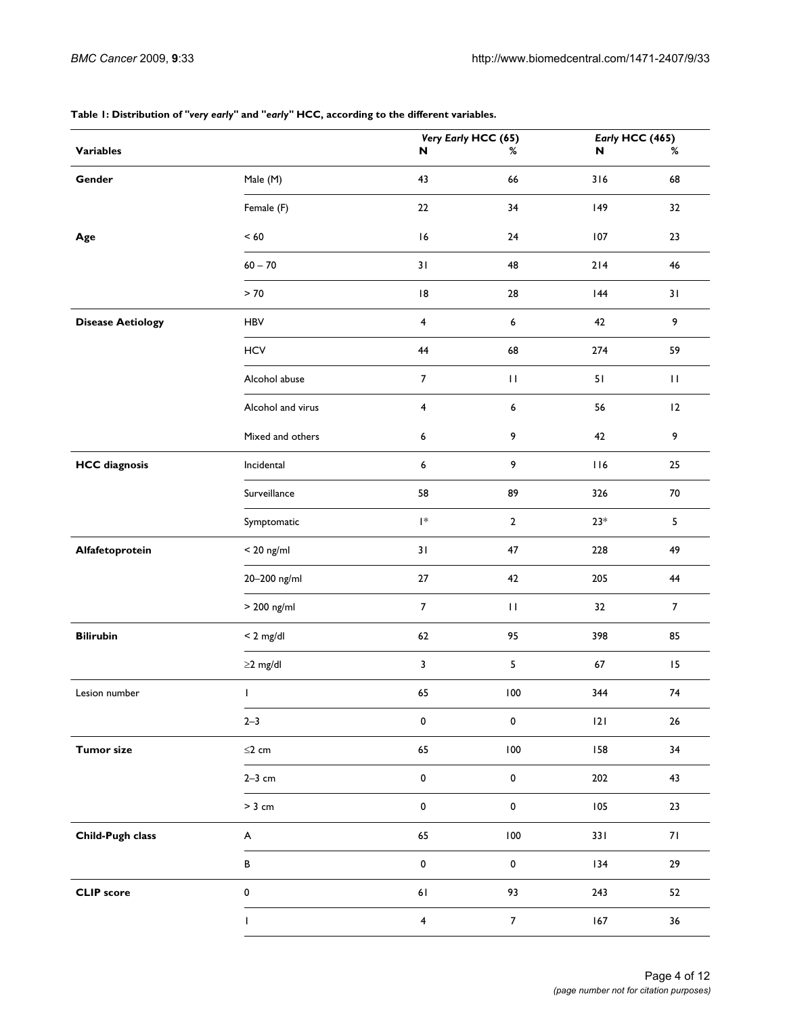| <b>Variables</b>         |                           | N                       | Very Early HCC (65)<br>% |       | Early HCC (465)<br>$\%$<br>N |  |
|--------------------------|---------------------------|-------------------------|--------------------------|-------|------------------------------|--|
| Gender                   | Male (M)                  | 43                      | 66                       | 316   | 68                           |  |
|                          | Female (F)                | 22                      | $34$                     | 49    | 32                           |  |
| Age                      | $< 60$                    | 16                      | 24                       | 107   | 23                           |  |
|                          | $60 - 70$                 | 31                      | 48                       | 214   | 46                           |  |
|                          | $>70\,$                   | $\,$ l $\,$ 8 $\,$      | 28                       | 44    | 31                           |  |
| <b>Disease Aetiology</b> | <b>HBV</b>                | $\overline{\mathbf{4}}$ | $\boldsymbol{6}$         | 42    | 9                            |  |
|                          | <b>HCV</b>                | 44                      | 68                       | 274   | 59                           |  |
|                          | Alcohol abuse             | 7                       | $\mathbf{H}$             | 51    | $\mathbf{H}$                 |  |
|                          | Alcohol and virus         | 4                       | 6                        | 56    | 12                           |  |
|                          | Mixed and others          | 6                       | 9                        | 42    | 9                            |  |
| <b>HCC</b> diagnosis     | Incidental                | 6                       | 9                        | 116   | 25                           |  |
|                          | Surveillance              | 58                      | 89                       | 326   | $70\,$                       |  |
|                          | Symptomatic               | $\mathsf{I}^*$          | $\mathbf 2$              | $23*$ | 5                            |  |
| Alfafetoprotein          | $< 20$ ng/ml              | 31                      | $47\,$                   | 228   | 49                           |  |
|                          | 20-200 ng/ml              | 27                      | 42                       | 205   | 44                           |  |
|                          | $>200$ ng/ml              | $\overline{7}$          | $\mathbf{H}$             | 32    | $\boldsymbol{7}$             |  |
| <b>Bilirubin</b>         | $< 2$ mg/dl               | 62                      | 95                       | 398   | 85                           |  |
|                          | $\geq$ 2 mg/dl            | 3                       | 5                        | 67    | 15                           |  |
| Lesion number            | $\mathbf{I}$              | 65                      | 100                      | 344   | 74                           |  |
|                          | $2 - 3$                   | $\pmb{0}$               | $\pmb{0}$                | 2     | 26                           |  |
| Tumor size               | $\leq$ 2 cm               | 65                      | 100                      | 158   | 34                           |  |
|                          | $2-3$ cm                  | $\pmb{0}$               | $\pmb{0}$                | 202   | 43                           |  |
|                          | > 3 cm                    | $\pmb{0}$               | $\pmb{0}$                | 105   | 23                           |  |
| Child-Pugh class         | $\boldsymbol{\mathsf{A}}$ | 65                      | $100\,$                  | 331   | 71                           |  |
|                          | $\, {\bf B}$              | $\pmb{0}$               | $\pmb{0}$                | 134   | 29                           |  |
| <b>CLIP</b> score        | $\pmb{0}$                 | $61\,$                  | 93                       | $243$ | 52                           |  |
|                          | $\mathbf{I}$              | 4                       | $\boldsymbol{7}$         | 167   | 36                           |  |

# **Table 1: Distribution of "***very early"* **and "***early"* **HCC, according to the different variables.**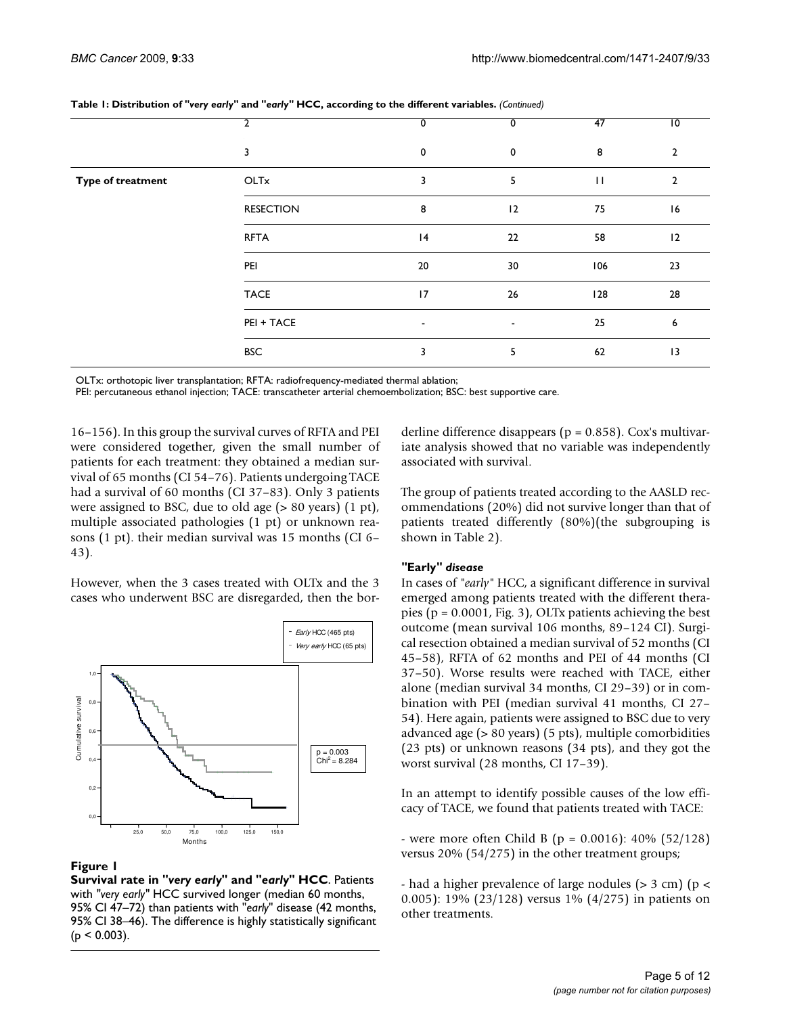|                   | 2                | 0                        | 0                        | 47           | $\overline{10}$ |
|-------------------|------------------|--------------------------|--------------------------|--------------|-----------------|
|                   | 3                | 0                        | 0                        | 8            | $\overline{2}$  |
| Type of treatment | OLTx             | 3                        | 5                        | $\mathbf{H}$ | $\overline{2}$  |
|                   | <b>RESECTION</b> | 8                        | 12                       | 75           | 16              |
|                   | <b>RFTA</b>      | 4                        | 22                       | 58           | 12              |
|                   | PEI              | 20                       | 30                       | 106          | 23              |
|                   | <b>TACE</b>      | 17                       | 26                       | 128          | 28              |
|                   | PEI + TACE       | $\overline{\phantom{a}}$ | $\overline{\phantom{a}}$ | 25           | 6               |
|                   | <b>BSC</b>       | 3                        | 5                        | 62           | 13              |

**Table 1: Distribution of "***very early"* **and "***early"* **HCC, according to the different variables.** *(Continued)*

OLTx: orthotopic liver transplantation; RFTA: radiofrequency-mediated thermal ablation;

PEI: percutaneous ethanol injection; TACE: transcatheter arterial chemoembolization; BSC: best supportive care.

16–156). In this group the survival curves of RFTA and PEI were considered together, given the small number of patients for each treatment: they obtained a median survival of 65 months (CI 54–76). Patients undergoing TACE had a survival of 60 months (CI 37–83). Only 3 patients were assigned to BSC, due to old age (> 80 years) (1 pt), multiple associated pathologies (1 pt) or unknown reasons (1 pt). their median survival was 15 months (CI 6– 43).

However, when the 3 cases treated with OLTx and the 3 cases who underwent BSC are disregarded, then the bor-



### **Figure 1**

**Survival rate in "***very early***" and "***early***" HCC**. Patients with *"very early"* HCC survived longer (median 60 months, 95% CI 47–72) than patients with "*early*" disease (42 months, 95% CI 38–46). The difference is highly statistically significant  $(p < 0.003)$ .

derline difference disappears ( $p = 0.858$ ). Cox's multivariate analysis showed that no variable was independently associated with survival.

The group of patients treated according to the AASLD recommendations (20%) did not survive longer than that of patients treated differently (80%)(the subgrouping is shown in Table 2).

### *"***Early***" disease*

In cases of *"early"* HCC, a significant difference in survival emerged among patients treated with the different therapies (p = 0.0001, Fig. 3), OLTx patients achieving the best outcome (mean survival 106 months, 89–124 CI). Surgical resection obtained a median survival of 52 months (CI 45–58), RFTA of 62 months and PEI of 44 months (CI 37–50). Worse results were reached with TACE, either alone (median survival 34 months, CI 29–39) or in combination with PEI (median survival 41 months, CI 27– 54). Here again, patients were assigned to BSC due to very advanced age (> 80 years) (5 pts), multiple comorbidities (23 pts) or unknown reasons (34 pts), and they got the worst survival (28 months, CI 17–39).

In an attempt to identify possible causes of the low efficacy of TACE, we found that patients treated with TACE:

- were more often Child B (p = 0.0016): 40% (52/128) versus 20% (54/275) in the other treatment groups;

- had a higher prevalence of large nodules (> 3 cm) (p < 0.005): 19% (23/128) versus 1% (4/275) in patients on other treatments.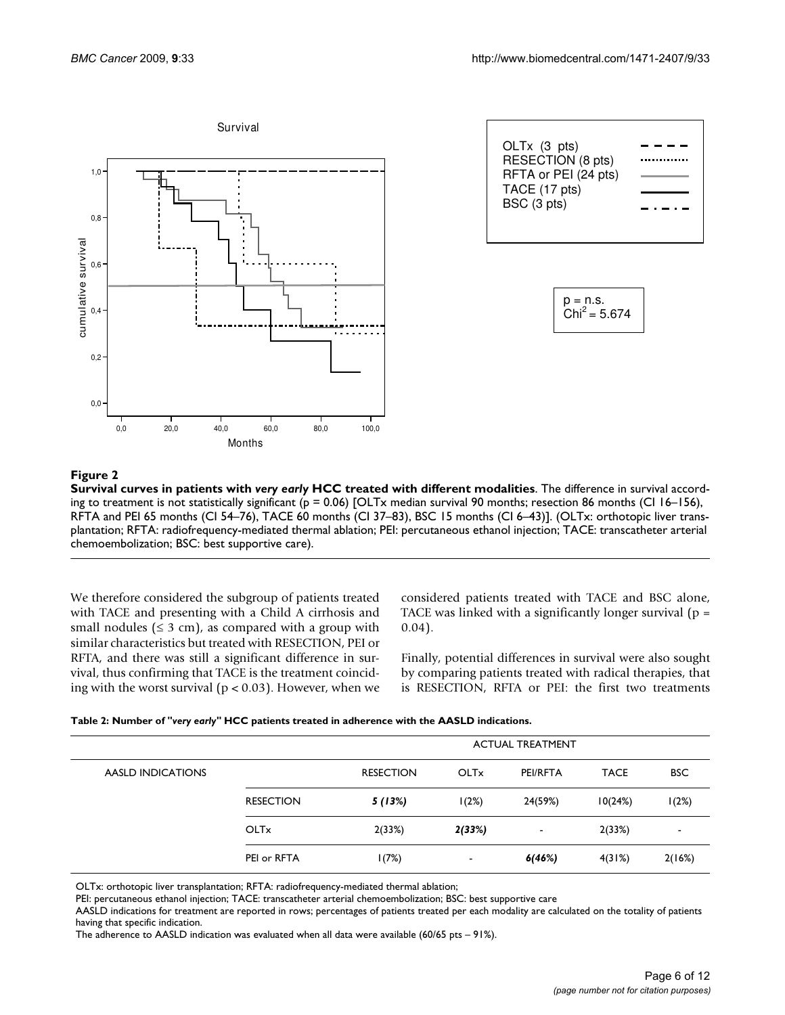

| $OLTx$ (3 pts)<br>RESECTION (8 pts)<br>RFTA or PEI (24 pts) |  |
|-------------------------------------------------------------|--|
| TACE (17 pts)<br>BSC (3 pts)                                |  |
|                                                             |  |

| $p = n.s.$<br>$Chi^2 = 5.674$ |
|-------------------------------|
|-------------------------------|

## $$

**Survival curves in patients with** *very early* **HCC treated with different modalities**. The difference in survival according to treatment is not statistically significant ( $p = 0.06$ ) [OLTx median survival 90 months; resection 86 months (CI 16–156), RFTA and PEI 65 months (CI 54–76), TACE 60 months (CI 37–83), BSC 15 months (CI 6–43)]. (OLTx: orthotopic liver transplantation; RFTA: radiofrequency-mediated thermal ablation; PEI: percutaneous ethanol injection; TACE: transcatheter arterial chemoembolization; BSC: best supportive care).

We therefore considered the subgroup of patients treated with TACE and presenting with a Child A cirrhosis and small nodules ( $\leq 3$  cm), as compared with a group with similar characteristics but treated with RESECTION, PEI or RFTA, and there was still a significant difference in survival, thus confirming that TACE is the treatment coinciding with the worst survival ( $p < 0.03$ ). However, when we considered patients treated with TACE and BSC alone, TACE was linked with a significantly longer survival  $(p =$ 0.04).

Finally, potential differences in survival were also sought by comparing patients treated with radical therapies, that is RESECTION, RFTA or PEI: the first two treatments

|  |  | Table 2: Number of "very early" HCC patients treated in adherence with the AASLD indications. |  |  |
|--|--|-----------------------------------------------------------------------------------------------|--|--|
|--|--|-----------------------------------------------------------------------------------------------|--|--|

|                   |                  | <b>ACTUAL TREATMENT</b> |                          |          |             |            |
|-------------------|------------------|-------------------------|--------------------------|----------|-------------|------------|
| AASLD INDICATIONS |                  | <b>RESECTION</b>        | <b>OLTx</b>              | PEI/RFTA | <b>TACE</b> | <b>BSC</b> |
|                   | <b>RESECTION</b> | 5 (13%)                 | 1(2%)                    | 24(59%)  | 10(24%)     | 1(2%)      |
|                   | <b>OLTx</b>      | 2(33%)                  | 2(33%)                   | ٠        | 2(33%)      | -          |
|                   | PEI or RFTA      | 1(7%)                   | $\overline{\phantom{a}}$ | 6(46%)   | 4(31%)      | 2(16%)     |

OLTx: orthotopic liver transplantation; RFTA: radiofrequency-mediated thermal ablation;

PEI: percutaneous ethanol injection; TACE: transcatheter arterial chemoembolization; BSC: best supportive care

AASLD indications for treatment are reported in rows; percentages of patients treated per each modality are calculated on the totality of patients having that specific indication.

The adherence to AASLD indication was evaluated when all data were available  $(60/65 \text{ pts} - 91\%)$ .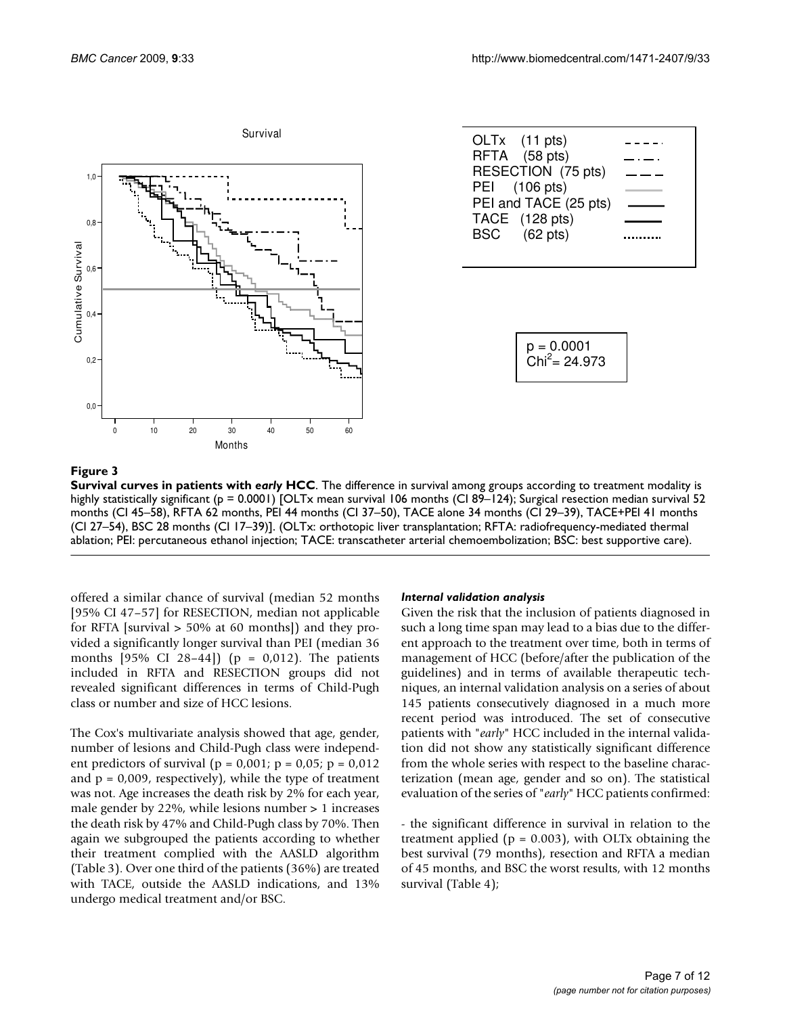

| OLTx (11 pts)         |  |
|-----------------------|--|
| RFTA (58 pts)         |  |
| RESECTION (75 pts)    |  |
| PEI (106 pts)         |  |
| PEI and TACE (25 pts) |  |
| TACE (128 pts)        |  |
| BSC (62 pts)          |  |
|                       |  |

| $p = 0.0001$            |  |
|-------------------------|--|
| $\text{Chi}^2$ = 24.973 |  |

#### **Figure 3**

**Survival curves in patients with** *early* **HCC**. The difference in survival among groups according to treatment modality is highly statistically significant (p = 0.0001) [OLTx mean survival 106 months (CI 89-124); Surgical resection median survival 52 months (CI 45–58), RFTA 62 months, PEI 44 months (CI 37–50), TACE alone 34 months (CI 29–39), TACE+PEI 41 months (CI 27–54), BSC 28 months (CI 17–39)]. (OLTx: orthotopic liver transplantation; RFTA: radiofrequency-mediated thermal ablation; PEI: percutaneous ethanol injection; TACE: transcatheter arterial chemoembolization; BSC: best supportive care).

offered a similar chance of survival (median 52 months [95% CI 47–57] for RESECTION, median not applicable for RFTA [survival  $> 50\%$  at 60 months]) and they provided a significantly longer survival than PEI (median 36 months [95% CI 28–44]) ( $p = 0.012$ ). The patients included in RFTA and RESECTION groups did not revealed significant differences in terms of Child-Pugh class or number and size of HCC lesions.

The Cox's multivariate analysis showed that age, gender, number of lesions and Child-Pugh class were independent predictors of survival ( $p = 0.001$ ;  $p = 0.05$ ;  $p = 0.012$ and  $p = 0.009$ , respectively), while the type of treatment was not. Age increases the death risk by 2% for each year, male gender by 22%, while lesions number > 1 increases the death risk by 47% and Child-Pugh class by 70%. Then again we subgrouped the patients according to whether their treatment complied with the AASLD algorithm (Table 3). Over one third of the patients (36%) are treated with TACE, outside the AASLD indications, and 13% undergo medical treatment and/or BSC.

#### *Internal validation analysis*

Given the risk that the inclusion of patients diagnosed in such a long time span may lead to a bias due to the different approach to the treatment over time, both in terms of management of HCC (before/after the publication of the guidelines) and in terms of available therapeutic techniques, an internal validation analysis on a series of about 145 patients consecutively diagnosed in a much more recent period was introduced. The set of consecutive patients with "*early*" HCC included in the internal validation did not show any statistically significant difference from the whole series with respect to the baseline characterization (mean age, gender and so on). The statistical evaluation of the series of "*early*" HCC patients confirmed:

- the significant difference in survival in relation to the treatment applied ( $p = 0.003$ ), with OLTx obtaining the best survival (79 months), resection and RFTA a median of 45 months, and BSC the worst results, with 12 months survival (Table 4);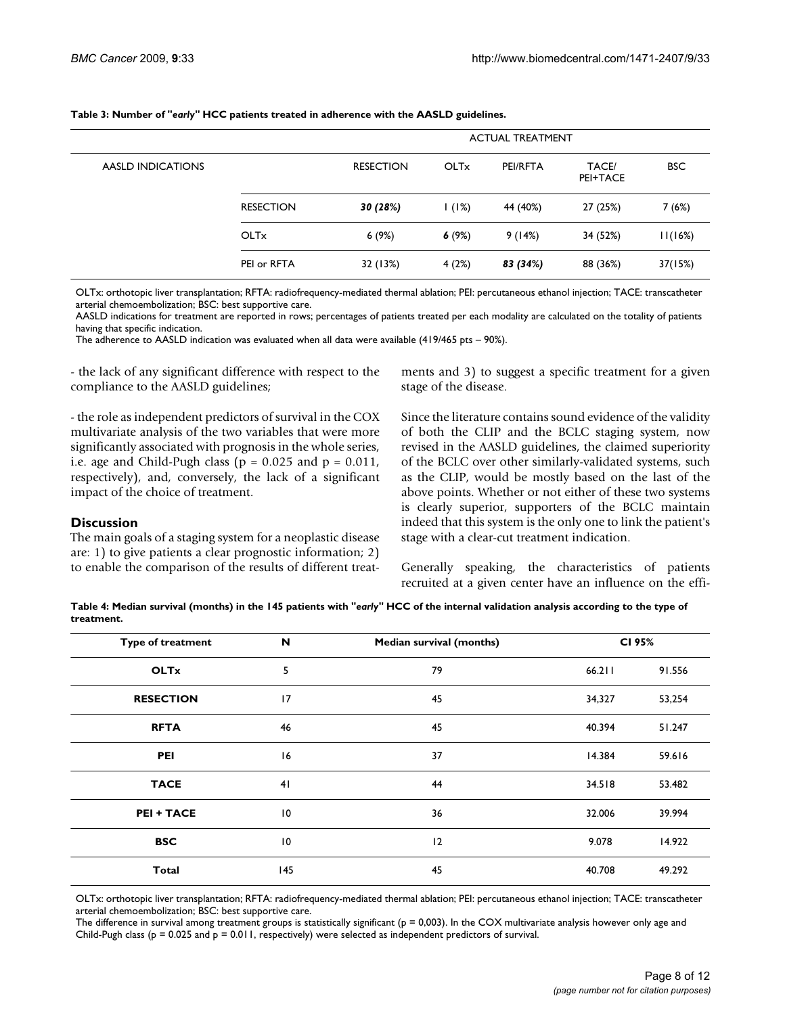|                   |                  | <b>ACTUAL TREATMENT</b> |             |          |                   |            |
|-------------------|------------------|-------------------------|-------------|----------|-------------------|------------|
| AASLD INDICATIONS |                  | <b>RESECTION</b>        | <b>OLTx</b> | PEI/RFTA | TACE/<br>PEI+TACE | <b>BSC</b> |
|                   | <b>RESECTION</b> | 30(28%)                 | 1(1%)       | 44 (40%) | 27 (25%)          | 7(6%)      |
|                   | <b>OLTx</b>      | 6 (9%)                  | 6(9%)       | 9(14%)   | 34 (52%)          | 11(16%)    |
|                   | PEI or RFTA      | 32 (13%)                | 4(2%)       | 83 (34%) | 88 (36%)          | 37(15%)    |

#### **Table 3: Number of "***early"* **HCC patients treated in adherence with the AASLD guidelines.**

OLTx: orthotopic liver transplantation; RFTA: radiofrequency-mediated thermal ablation; PEI: percutaneous ethanol injection; TACE: transcatheter arterial chemoembolization; BSC: best supportive care.

AASLD indications for treatment are reported in rows; percentages of patients treated per each modality are calculated on the totality of patients having that specific indication.

The adherence to AASLD indication was evaluated when all data were available (419/465 pts – 90%).

- the lack of any significant difference with respect to the compliance to the AASLD guidelines;

- the role as independent predictors of survival in the COX multivariate analysis of the two variables that were more significantly associated with prognosis in the whole series, i.e. age and Child-Pugh class ( $p = 0.025$  and  $p = 0.011$ , respectively), and, conversely, the lack of a significant impact of the choice of treatment.

# **Discussion**

The main goals of a staging system for a neoplastic disease are: 1) to give patients a clear prognostic information; 2) to enable the comparison of the results of different treatments and 3) to suggest a specific treatment for a given stage of the disease.

Since the literature contains sound evidence of the validity of both the CLIP and the BCLC staging system, now revised in the AASLD guidelines, the claimed superiority of the BCLC over other similarly-validated systems, such as the CLIP, would be mostly based on the last of the above points. Whether or not either of these two systems is clearly superior, supporters of the BCLC maintain indeed that this system is the only one to link the patient's stage with a clear-cut treatment indication.

Generally speaking, the characteristics of patients recruited at a given center have an influence on the effi-

**Table 4: Median survival (months) in the 145 patients with "***early"* **HCC of the internal validation analysis according to the type of treatment.**

| <b>Type of treatment</b> | N<br>Median survival (months) |              | CI 95% |        |  |
|--------------------------|-------------------------------|--------------|--------|--------|--|
| <b>OLTx</b>              | 5                             | 79           | 66.211 | 91.556 |  |
| <b>RESECTION</b>         | 17                            | 45           | 34,327 | 53,254 |  |
| <b>RFTA</b>              | 46                            | 45           | 40.394 | 51.247 |  |
| <b>PEI</b>               | 16                            | 37           | 14.384 | 59.616 |  |
| <b>TACE</b>              | 41                            | 44           | 34.518 | 53.482 |  |
| <b>PEI + TACE</b>        | 10                            | 36           | 32.006 | 39.994 |  |
| <b>BSC</b>               | 10                            | 12           | 9.078  | 14.922 |  |
| Total                    | 145                           | 45<br>40.708 |        | 49.292 |  |

OLTx: orthotopic liver transplantation; RFTA: radiofrequency-mediated thermal ablation; PEI: percutaneous ethanol injection; TACE: transcatheter arterial chemoembolization; BSC: best supportive care.

The difference in survival among treatment groups is statistically significant ( $p = 0.003$ ). In the COX multivariate analysis however only age and Child-Pugh class ( $p = 0.025$  and  $p = 0.011$ , respectively) were selected as independent predictors of survival.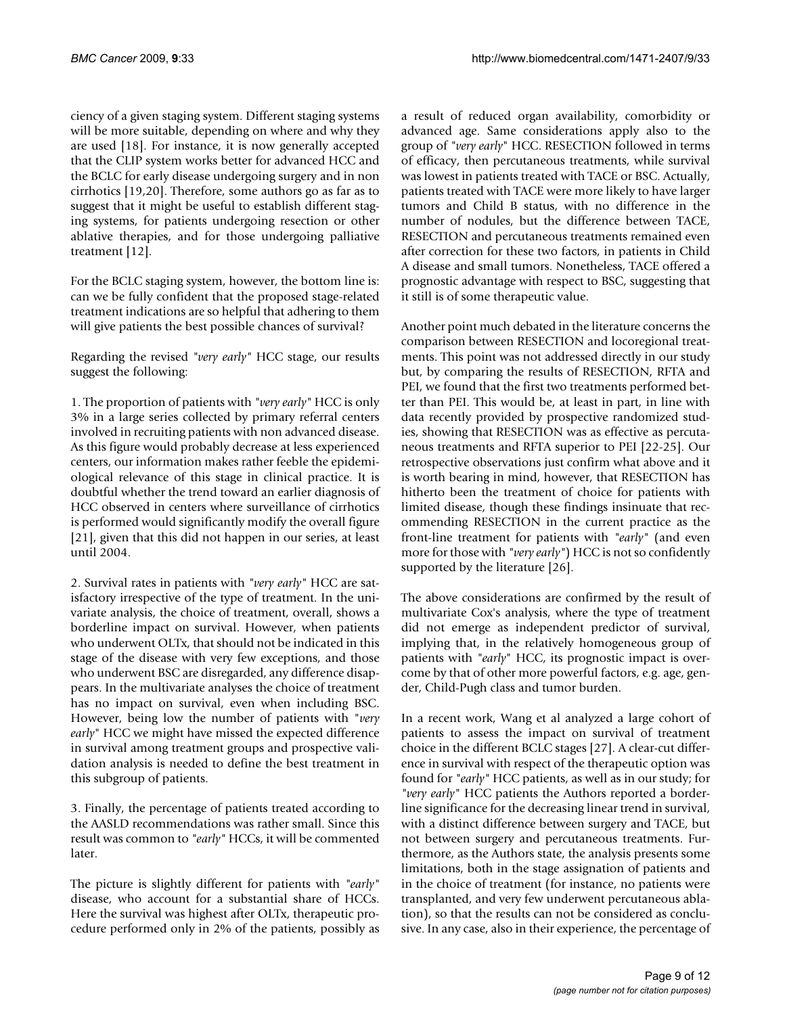ciency of a given staging system. Different staging systems will be more suitable, depending on where and why they are used [18]. For instance, it is now generally accepted that the CLIP system works better for advanced HCC and the BCLC for early disease undergoing surgery and in non cirrhotics [19,20]. Therefore, some authors go as far as to suggest that it might be useful to establish different staging systems, for patients undergoing resection or other ablative therapies, and for those undergoing palliative treatment [12].

For the BCLC staging system, however, the bottom line is: can we be fully confident that the proposed stage-related treatment indications are so helpful that adhering to them will give patients the best possible chances of survival?

Regarding the revised *"very early"* HCC stage, our results suggest the following:

1. The proportion of patients with *"very early"* HCC is only 3% in a large series collected by primary referral centers involved in recruiting patients with non advanced disease. As this figure would probably decrease at less experienced centers, our information makes rather feeble the epidemiological relevance of this stage in clinical practice. It is doubtful whether the trend toward an earlier diagnosis of HCC observed in centers where surveillance of cirrhotics is performed would significantly modify the overall figure [21], given that this did not happen in our series, at least until 2004.

2. Survival rates in patients with *"very early"* HCC are satisfactory irrespective of the type of treatment. In the univariate analysis, the choice of treatment, overall, shows a borderline impact on survival. However, when patients who underwent OLTx, that should not be indicated in this stage of the disease with very few exceptions, and those who underwent BSC are disregarded, any difference disappears. In the multivariate analyses the choice of treatment has no impact on survival, even when including BSC. However, being low the number of patients with "*very early*" HCC we might have missed the expected difference in survival among treatment groups and prospective validation analysis is needed to define the best treatment in this subgroup of patients.

3. Finally, the percentage of patients treated according to the AASLD recommendations was rather small. Since this result was common to *"early"* HCCs, it will be commented later.

The picture is slightly different for patients with *"early"* disease, who account for a substantial share of HCCs. Here the survival was highest after OLTx, therapeutic procedure performed only in 2% of the patients, possibly as a result of reduced organ availability, comorbidity or advanced age. Same considerations apply also to the group of *"very early*" HCC. RESECTION followed in terms of efficacy, then percutaneous treatments, while survival was lowest in patients treated with TACE or BSC. Actually, patients treated with TACE were more likely to have larger tumors and Child B status, with no difference in the number of nodules, but the difference between TACE, RESECTION and percutaneous treatments remained even after correction for these two factors, in patients in Child A disease and small tumors. Nonetheless, TACE offered a prognostic advantage with respect to BSC, suggesting that it still is of some therapeutic value.

Another point much debated in the literature concerns the comparison between RESECTION and locoregional treatments. This point was not addressed directly in our study but, by comparing the results of RESECTION, RFTA and PEI, we found that the first two treatments performed better than PEI. This would be, at least in part, in line with data recently provided by prospective randomized studies, showing that RESECTION was as effective as percutaneous treatments and RFTA superior to PEI [22-25]. Our retrospective observations just confirm what above and it is worth bearing in mind, however, that RESECTION has hitherto been the treatment of choice for patients with limited disease, though these findings insinuate that recommending RESECTION in the current practice as the front-line treatment for patients with *"early"* (and even more for those with *"very early"*) HCC is not so confidently supported by the literature [26].

The above considerations are confirmed by the result of multivariate Cox's analysis, where the type of treatment did not emerge as independent predictor of survival, implying that, in the relatively homogeneous group of patients with *"early*" HCC, its prognostic impact is overcome by that of other more powerful factors, e.g. age, gender, Child-Pugh class and tumor burden.

In a recent work, Wang et al analyzed a large cohort of patients to assess the impact on survival of treatment choice in the different BCLC stages [27]. A clear-cut difference in survival with respect of the therapeutic option was found for *"early"* HCC patients, as well as in our study; for *"very early"* HCC patients the Authors reported a borderline significance for the decreasing linear trend in survival, with a distinct difference between surgery and TACE, but not between surgery and percutaneous treatments. Furthermore, as the Authors state, the analysis presents some limitations, both in the stage assignation of patients and in the choice of treatment (for instance, no patients were transplanted, and very few underwent percutaneous ablation), so that the results can not be considered as conclusive. In any case, also in their experience, the percentage of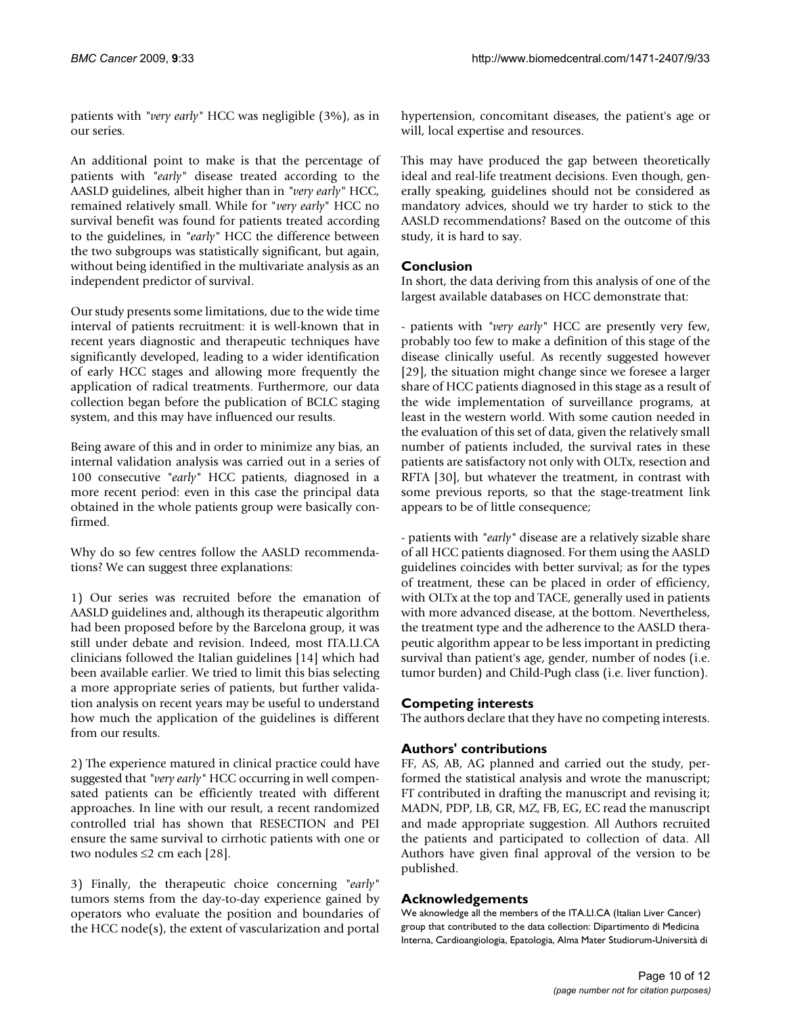patients with *"very early"* HCC was negligible (3%), as in our series.

An additional point to make is that the percentage of patients with *"early"* disease treated according to the AASLD guidelines, albeit higher than in *"very early"* HCC, remained relatively small. While for "*very early*" HCC no survival benefit was found for patients treated according to the guidelines, in *"early"* HCC the difference between the two subgroups was statistically significant, but again, without being identified in the multivariate analysis as an independent predictor of survival.

Our study presents some limitations, due to the wide time interval of patients recruitment: it is well-known that in recent years diagnostic and therapeutic techniques have significantly developed, leading to a wider identification of early HCC stages and allowing more frequently the application of radical treatments. Furthermore, our data collection began before the publication of BCLC staging system, and this may have influenced our results.

Being aware of this and in order to minimize any bias, an internal validation analysis was carried out in a series of 100 consecutive *"early"* HCC patients, diagnosed in a more recent period: even in this case the principal data obtained in the whole patients group were basically confirmed.

Why do so few centres follow the AASLD recommendations? We can suggest three explanations:

1) Our series was recruited before the emanation of AASLD guidelines and, although its therapeutic algorithm had been proposed before by the Barcelona group, it was still under debate and revision. Indeed, most ITA.LI.CA clinicians followed the Italian guidelines [14] which had been available earlier. We tried to limit this bias selecting a more appropriate series of patients, but further validation analysis on recent years may be useful to understand how much the application of the guidelines is different from our results.

2) The experience matured in clinical practice could have suggested that *"very early"* HCC occurring in well compensated patients can be efficiently treated with different approaches. In line with our result, a recent randomized controlled trial has shown that RESECTION and PEI ensure the same survival to cirrhotic patients with one or two nodules ≤2 cm each [28].

3) Finally, the therapeutic choice concerning *"early"* tumors stems from the day-to-day experience gained by operators who evaluate the position and boundaries of the HCC node(s), the extent of vascularization and portal

hypertension, concomitant diseases, the patient's age or will, local expertise and resources.

This may have produced the gap between theoretically ideal and real-life treatment decisions. Even though, generally speaking, guidelines should not be considered as mandatory advices, should we try harder to stick to the AASLD recommendations? Based on the outcome of this study, it is hard to say.

# **Conclusion**

In short, the data deriving from this analysis of one of the largest available databases on HCC demonstrate that:

- patients with *"very early"* HCC are presently very few, probably too few to make a definition of this stage of the disease clinically useful. As recently suggested however [29], the situation might change since we foresee a larger share of HCC patients diagnosed in this stage as a result of the wide implementation of surveillance programs, at least in the western world. With some caution needed in the evaluation of this set of data, given the relatively small number of patients included, the survival rates in these patients are satisfactory not only with OLTx, resection and RFTA [30], but whatever the treatment, in contrast with some previous reports, so that the stage-treatment link appears to be of little consequence;

- patients with *"early"* disease are a relatively sizable share of all HCC patients diagnosed. For them using the AASLD guidelines coincides with better survival; as for the types of treatment, these can be placed in order of efficiency, with OLTx at the top and TACE, generally used in patients with more advanced disease, at the bottom. Nevertheless, the treatment type and the adherence to the AASLD therapeutic algorithm appear to be less important in predicting survival than patient's age, gender, number of nodes (i.e. tumor burden) and Child-Pugh class (i.e. liver function).

# **Competing interests**

The authors declare that they have no competing interests.

# **Authors' contributions**

FF, AS, AB, AG planned and carried out the study, performed the statistical analysis and wrote the manuscript; FT contributed in drafting the manuscript and revising it; MADN, PDP, LB, GR, MZ, FB, EG, EC read the manuscript and made appropriate suggestion. All Authors recruited the patients and participated to collection of data. All Authors have given final approval of the version to be published.

# **Acknowledgements**

We aknowledge all the members of the ITA.LI.CA (Italian Liver Cancer) group that contributed to the data collection: Dipartimento di Medicina Interna, Cardioangiologia, Epatologia, Alma Mater Studiorum-Università di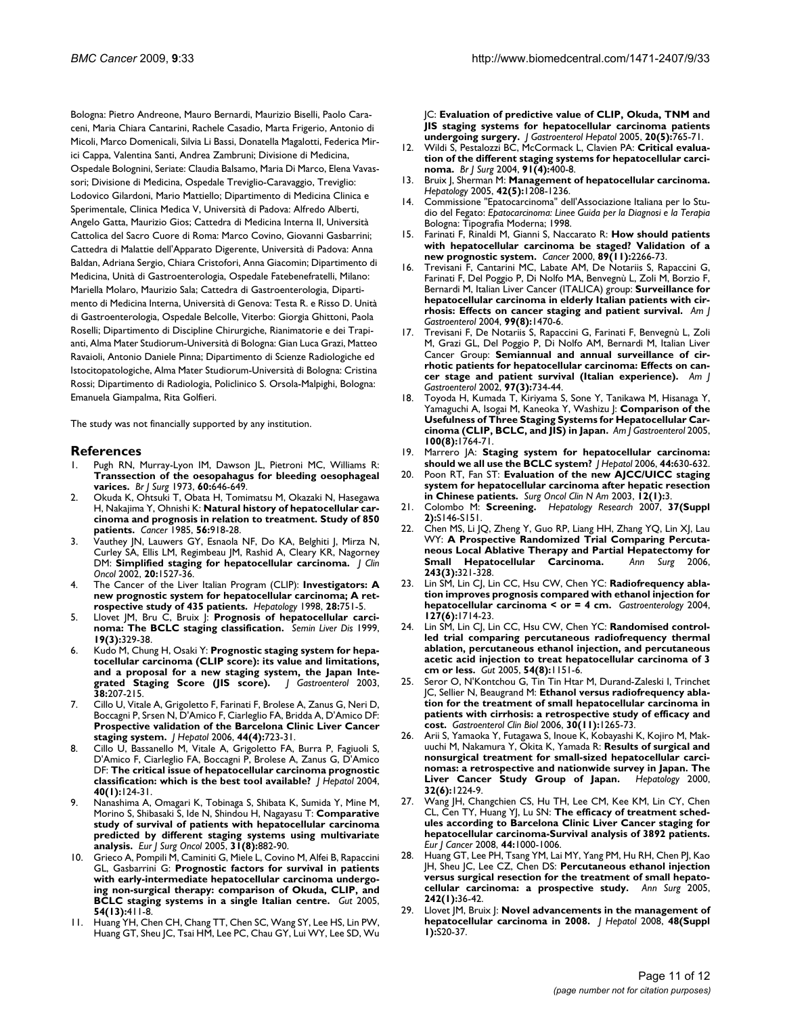Bologna: Pietro Andreone, Mauro Bernardi, Maurizio Biselli, Paolo Caraceni, Maria Chiara Cantarini, Rachele Casadio, Marta Frigerio, Antonio di Micoli, Marco Domenicali, Silvia Li Bassi, Donatella Magalotti, Federica Mirici Cappa, Valentina Santi, Andrea Zambruni; Divisione di Medicina, Ospedale Bolognini, Seriate: Claudia Balsamo, Maria Di Marco, Elena Vavassori; Divisione di Medicina, Ospedale Treviglio-Caravaggio, Treviglio: Lodovico Gilardoni, Mario Mattiello; Dipartimento di Medicina Clinica e Sperimentale, Clinica Medica V, Università di Padova: Alfredo Alberti, Angelo Gatta, Maurizio Gios; Cattedra di Medicina Interna II, Università Cattolica del Sacro Cuore di Roma: Marco Covino, Giovanni Gasbarrini; Cattedra di Malattie dell'Apparato Digerente, Università di Padova: Anna Baldan, Adriana Sergio, Chiara Cristofori, Anna Giacomin; Dipartimento di Medicina, Unità di Gastroenterologia, Ospedale Fatebenefratelli, Milano: Mariella Molaro, Maurizio Sala; Cattedra di Gastroenterologia, Dipartimento di Medicina Interna, Università di Genova: Testa R. e Risso D. Unità di Gastroenterologia, Ospedale Belcolle, Viterbo: Giorgia Ghittoni, Paola Roselli; Dipartimento di Discipline Chirurgiche, Rianimatorie e dei Trapianti, Alma Mater Studiorum-Università di Bologna: Gian Luca Grazi, Matteo Ravaioli, Antonio Daniele Pinna; Dipartimento di Scienze Radiologiche ed Istocitopatologiche, Alma Mater Studiorum-Università di Bologna: Cristina Rossi; Dipartimento di Radiologia, Policlinico S. Orsola-Malpighi, Bologna: Emanuela Giampalma, Rita Golfieri.

The study was not financially supported by any institution.

#### **References**

- Pugh RN, Murray-Lyon IM, Dawson JL, Pietroni MC, Williams R: **[Transsection of the oesopahagus for bleeding oesophageal](http://www.ncbi.nlm.nih.gov/entrez/query.fcgi?cmd=Retrieve&db=PubMed&dopt=Abstract&list_uids=4541913) [varices.](http://www.ncbi.nlm.nih.gov/entrez/query.fcgi?cmd=Retrieve&db=PubMed&dopt=Abstract&list_uids=4541913)** *Br J Surg* 1973, **60:**646-649.
- 2. Okuda K, Ohtsuki T, Obata H, Tomimatsu M, Okazaki N, Hasegawa H, Nakajima Y, Ohnishi K: **[Natural history of hepatocellular car](http://www.ncbi.nlm.nih.gov/entrez/query.fcgi?cmd=Retrieve&db=PubMed&dopt=Abstract&list_uids=2990661)[cinoma and prognosis in relation to treatment. Study of 850](http://www.ncbi.nlm.nih.gov/entrez/query.fcgi?cmd=Retrieve&db=PubMed&dopt=Abstract&list_uids=2990661) [patients.](http://www.ncbi.nlm.nih.gov/entrez/query.fcgi?cmd=Retrieve&db=PubMed&dopt=Abstract&list_uids=2990661)** *Cancer* 1985, **56:**918-28.
- 3. Vauthey JN, Lauwers GY, Esnaola NF, Do KA, Belghiti J, Mirza N, Curley SA, Ellis LM, Regimbeau JM, Rashid A, Cleary KR, Nagorney DM: **[Simplified staging for hepatocellular carcinoma.](http://www.ncbi.nlm.nih.gov/entrez/query.fcgi?cmd=Retrieve&db=PubMed&dopt=Abstract&list_uids=11896101)** *J Clin Oncol* 2002, **20:**1527-36.
- 4. The Cancer of the Liver Italian Program (CLIP): **[Investigators: A](http://www.ncbi.nlm.nih.gov/entrez/query.fcgi?cmd=Retrieve&db=PubMed&dopt=Abstract&list_uids=9731568) [new prognostic system for hepatocellular carcinoma; A ret](http://www.ncbi.nlm.nih.gov/entrez/query.fcgi?cmd=Retrieve&db=PubMed&dopt=Abstract&list_uids=9731568)[rospective study of 435 patients.](http://www.ncbi.nlm.nih.gov/entrez/query.fcgi?cmd=Retrieve&db=PubMed&dopt=Abstract&list_uids=9731568)** *Hepatology* 1998, **28:**751-5.
- 5. Llovet JM, Bru C, Bruix J: **[Prognosis of hepatocellular carci](http://www.ncbi.nlm.nih.gov/entrez/query.fcgi?cmd=Retrieve&db=PubMed&dopt=Abstract&list_uids=10518312)[noma: The BCLC staging classification.](http://www.ncbi.nlm.nih.gov/entrez/query.fcgi?cmd=Retrieve&db=PubMed&dopt=Abstract&list_uids=10518312)** *Semin Liver Dis* 1999, **19(3):**329-38.
- 6. Kudo M, Chung H, Osaki Y: **[Prognostic staging system for hepa](http://www.ncbi.nlm.nih.gov/entrez/query.fcgi?cmd=Retrieve&db=PubMed&dopt=Abstract&list_uids=12673442)[tocellular carcinoma \(CLIP score\): its value and limitations,](http://www.ncbi.nlm.nih.gov/entrez/query.fcgi?cmd=Retrieve&db=PubMed&dopt=Abstract&list_uids=12673442)** and a proposal for a new staging system, the Japan Integrated Staging Score (JIS score). J Gastroenterol 2003, [grated Staging Score \(JIS score\).](http://www.ncbi.nlm.nih.gov/entrez/query.fcgi?cmd=Retrieve&db=PubMed&dopt=Abstract&list_uids=12673442) **38:**207-215.
- 7. Cillo U, Vitale A, Grigoletto F, Farinati F, Brolese A, Zanus G, Neri D, Boccagni P, Srsen N, D'Amico F, Ciarleglio FA, Bridda A, D'Amico DF: **[Prospective validation of the Barcelona Clinic Liver Cancer](http://www.ncbi.nlm.nih.gov/entrez/query.fcgi?cmd=Retrieve&db=PubMed&dopt=Abstract&list_uids=16488051) [staging system.](http://www.ncbi.nlm.nih.gov/entrez/query.fcgi?cmd=Retrieve&db=PubMed&dopt=Abstract&list_uids=16488051)** *J Hepatol* 2006, **44(4):**723-31.
- 8. Cillo U, Bassanello M, Vitale A, Grigoletto FA, Burra P, Fagiuoli S, D'Amico F, Ciarleglio FA, Boccagni P, Brolese A, Zanus G, D'Amico DF: **[The critical issue of hepatocellular carcinoma prognostic](http://www.ncbi.nlm.nih.gov/entrez/query.fcgi?cmd=Retrieve&db=PubMed&dopt=Abstract&list_uids=14672623) [classification: which is the best tool available?](http://www.ncbi.nlm.nih.gov/entrez/query.fcgi?cmd=Retrieve&db=PubMed&dopt=Abstract&list_uids=14672623)** *J Hepatol* 2004, **40(1):**124-31.
- 9. Nanashima A, Omagari K, Tobinaga S, Shibata K, Sumida Y, Mine M, Morino S, Shibasaki S, Ide N, Shindou H, Nagayasu T: **[Comparative](http://www.ncbi.nlm.nih.gov/entrez/query.fcgi?cmd=Retrieve&db=PubMed&dopt=Abstract&list_uids=15993031) [study of survival of patients with hepatocellular carcinoma](http://www.ncbi.nlm.nih.gov/entrez/query.fcgi?cmd=Retrieve&db=PubMed&dopt=Abstract&list_uids=15993031) predicted by different staging systems using multivariate [analysis.](http://www.ncbi.nlm.nih.gov/entrez/query.fcgi?cmd=Retrieve&db=PubMed&dopt=Abstract&list_uids=15993031)** *Eur J Surg Oncol* 2005, **31(8):**882-90.
- 10. Grieco A, Pompili M, Caminiti G, Miele L, Covino M, Alfei B, Rapaccini GL, Gasbarrini G: **[Prognostic factors for survival in patients](http://www.ncbi.nlm.nih.gov/entrez/query.fcgi?cmd=Retrieve&db=PubMed&dopt=Abstract&list_uids=15710992) [with early-intermediate hepatocellular carcinoma undergo](http://www.ncbi.nlm.nih.gov/entrez/query.fcgi?cmd=Retrieve&db=PubMed&dopt=Abstract&list_uids=15710992)ing non-surgical therapy: comparison of Okuda, CLIP, and [BCLC staging systems in a single Italian centre.](http://www.ncbi.nlm.nih.gov/entrez/query.fcgi?cmd=Retrieve&db=PubMed&dopt=Abstract&list_uids=15710992)** *Gut* 2005, **54(13):**411-8.
- 11. Huang YH, Chen CH, Chang TT, Chen SC, Wang SY, Lee HS, Lin PW, Huang GT, Sheu JC, Tsai HM, Lee PC, Chau GY, Lui WY, Lee SD, Wu

JC: **[Evaluation of predictive value of CLIP, Okuda, TNM and](http://www.ncbi.nlm.nih.gov/entrez/query.fcgi?cmd=Retrieve&db=PubMed&dopt=Abstract&list_uids=15853992) [JIS staging systems for hepatocellular carcinoma patients](http://www.ncbi.nlm.nih.gov/entrez/query.fcgi?cmd=Retrieve&db=PubMed&dopt=Abstract&list_uids=15853992) [undergoing surgery.](http://www.ncbi.nlm.nih.gov/entrez/query.fcgi?cmd=Retrieve&db=PubMed&dopt=Abstract&list_uids=15853992)** *J Gastroenterol Hepatol* 2005, **20(5):**765-71.

- 12. Wildi S, Pestalozzi BC, McCormack L, Clavien PA: **[Critical evalua](http://www.ncbi.nlm.nih.gov/entrez/query.fcgi?cmd=Retrieve&db=PubMed&dopt=Abstract&list_uids=15048738)[tion of the different staging systems for hepatocellular carci](http://www.ncbi.nlm.nih.gov/entrez/query.fcgi?cmd=Retrieve&db=PubMed&dopt=Abstract&list_uids=15048738)[noma.](http://www.ncbi.nlm.nih.gov/entrez/query.fcgi?cmd=Retrieve&db=PubMed&dopt=Abstract&list_uids=15048738)** *Br J Surg* 2004, **91(4):**400-8.
- 13. Bruix J, Sherman M: **[Management of hepatocellular carcinoma.](http://www.ncbi.nlm.nih.gov/entrez/query.fcgi?cmd=Retrieve&db=PubMed&dopt=Abstract&list_uids=16250051)** *Hepatology* 2005, **42(5):**1208-1236.
- 14. Commissione "Epatocarcinoma" dell'Associazione Italiana per lo Studio del Fegato: *Epatocarcinoma: Linee Guida per la Diagnosi e la Terapia* Bologna: Tipografia Moderna; 1998.
- 15. Farinati F, Rinaldi M, Gianni S, Naccarato R: **[How should patients](http://www.ncbi.nlm.nih.gov/entrez/query.fcgi?cmd=Retrieve&db=PubMed&dopt=Abstract&list_uids=11147597) [with hepatocellular carcinoma be staged? Validation of a](http://www.ncbi.nlm.nih.gov/entrez/query.fcgi?cmd=Retrieve&db=PubMed&dopt=Abstract&list_uids=11147597) [new prognostic system.](http://www.ncbi.nlm.nih.gov/entrez/query.fcgi?cmd=Retrieve&db=PubMed&dopt=Abstract&list_uids=11147597)** *Cancer* 2000, **89(11):**2266-73.
- 16. Trevisani F, Cantarini MC, Labate AM, De Notariis S, Rapaccini G, Farinati F, Del Poggio P, Di Nolfo MA, Benvegnù L, Zoli M, Borzio F, Bernardi M, Italian Liver Cancer (ITALICA) group: **[Surveillance for](http://www.ncbi.nlm.nih.gov/entrez/query.fcgi?cmd=Retrieve&db=PubMed&dopt=Abstract&list_uids=15307862) [hepatocellular carcinoma in elderly Italian patients with cir](http://www.ncbi.nlm.nih.gov/entrez/query.fcgi?cmd=Retrieve&db=PubMed&dopt=Abstract&list_uids=15307862)[rhosis: Effects on cancer staging and patient survival.](http://www.ncbi.nlm.nih.gov/entrez/query.fcgi?cmd=Retrieve&db=PubMed&dopt=Abstract&list_uids=15307862)** *Am J Gastroenterol* 2004, **99(8):**1470-6.
- 17. Trevisani F, De Notariis S, Rapaccini G, Farinati F, Benvegnù L, Zoli M, Grazi GL, Del Poggio P, Di Nolfo AM, Bernardi M, Italian Liver Cancer Group: **[Semiannual and annual surveillance of cir](http://www.ncbi.nlm.nih.gov/entrez/query.fcgi?cmd=Retrieve&db=PubMed&dopt=Abstract&list_uids=11922571)[rhotic patients for hepatocellular carcinoma: Effects on can](http://www.ncbi.nlm.nih.gov/entrez/query.fcgi?cmd=Retrieve&db=PubMed&dopt=Abstract&list_uids=11922571)[cer stage and patient survival \(Italian experience\).](http://www.ncbi.nlm.nih.gov/entrez/query.fcgi?cmd=Retrieve&db=PubMed&dopt=Abstract&list_uids=11922571)** *Am J Gastroenterol* 2002, **97(3):**734-44.
- Toyoda H, Kumada T, Kiriyama S, Sone Y, Tanikawa M, Hisanaga Y, Yamaguchi A, Isogai M, Kaneoka Y, Washizu J: **[Comparison of the](http://www.ncbi.nlm.nih.gov/entrez/query.fcgi?cmd=Retrieve&db=PubMed&dopt=Abstract&list_uids=16086713) [Usefulness of Three Staging Systems for Hepatocellular Car](http://www.ncbi.nlm.nih.gov/entrez/query.fcgi?cmd=Retrieve&db=PubMed&dopt=Abstract&list_uids=16086713)[cinoma \(CLIP, BCLC, and JIS\) in Japan.](http://www.ncbi.nlm.nih.gov/entrez/query.fcgi?cmd=Retrieve&db=PubMed&dopt=Abstract&list_uids=16086713)** *Am J Gastroenterol* 2005, **100(8):**1764-71.
- 19. Marrero JA: **[Staging system for hepatocellular carcinoma:](http://www.ncbi.nlm.nih.gov/entrez/query.fcgi?cmd=Retrieve&db=PubMed&dopt=Abstract&list_uids=16503077) [should we all use the BCLC system?](http://www.ncbi.nlm.nih.gov/entrez/query.fcgi?cmd=Retrieve&db=PubMed&dopt=Abstract&list_uids=16503077)** *J Hepatol* 2006, **44:**630-632.
- 20. Poon RT, Fan ST: **Evaluation of the new AJCC/UICC staging system for hepatocellular carcinoma after hepatic resection in Chinese patients.** *Surg Oncol Clin N Am* 2003, **12(1):**3.
- 21. Colombo M: **[Screening.](http://www.ncbi.nlm.nih.gov/entrez/query.fcgi?cmd=Retrieve&db=PubMed&dopt=Abstract&list_uids=17877477)** *Hepatology Research* 2007, **37(Suppl 2):**S146-S151.
- 22. Chen MS, Li JQ, Zheng Y, Guo RP, Liang HH, Zhang YQ, Lin XJ, Lau WY: **[A Prospective Randomized Trial Comparing Percuta](http://www.ncbi.nlm.nih.gov/entrez/query.fcgi?cmd=Retrieve&db=PubMed&dopt=Abstract&list_uids=16495695)[neous Local Ablative Therapy and Partial Hepatectomy for](http://www.ncbi.nlm.nih.gov/entrez/query.fcgi?cmd=Retrieve&db=PubMed&dopt=Abstract&list_uids=16495695) [Small Hepatocellular Carcinoma.](http://www.ncbi.nlm.nih.gov/entrez/query.fcgi?cmd=Retrieve&db=PubMed&dopt=Abstract&list_uids=16495695)** *Ann Surg* 2006, **243(3):**321-328.
- 23. Lin SM, Lin CJ, Lin CC, Hsu CW, Chen YC: **[Radiofrequency abla](http://www.ncbi.nlm.nih.gov/entrez/query.fcgi?cmd=Retrieve&db=PubMed&dopt=Abstract&list_uids=15578509)[tion improves prognosis compared with ethanol injection for](http://www.ncbi.nlm.nih.gov/entrez/query.fcgi?cmd=Retrieve&db=PubMed&dopt=Abstract&list_uids=15578509) [hepatocellular carcinoma < or = 4 cm.](http://www.ncbi.nlm.nih.gov/entrez/query.fcgi?cmd=Retrieve&db=PubMed&dopt=Abstract&list_uids=15578509)** *Gastroenterology* 2004, **127(6):**1714-23.
- 24. Lin SM, Lin CJ, Lin CC, Hsu CW, Chen YC: **[Randomised control](http://www.ncbi.nlm.nih.gov/entrez/query.fcgi?cmd=Retrieve&db=PubMed&dopt=Abstract&list_uids=16009687)[led trial comparing percutaneous radiofrequency thermal](http://www.ncbi.nlm.nih.gov/entrez/query.fcgi?cmd=Retrieve&db=PubMed&dopt=Abstract&list_uids=16009687) ablation, percutaneous ethanol injection, and percutaneous acetic acid injection to treat hepatocellular carcinoma of 3 [cm or less.](http://www.ncbi.nlm.nih.gov/entrez/query.fcgi?cmd=Retrieve&db=PubMed&dopt=Abstract&list_uids=16009687)** *Gut* 2005, **54(8):**1151-6.
- 25. Seror O, N'Kontchou G, Tin Tin Htar M, Durand-Zaleski I, Trinchet JC, Sellier N, Beaugrand M: **[Ethanol versus radiofrequency abla](http://www.ncbi.nlm.nih.gov/entrez/query.fcgi?cmd=Retrieve&db=PubMed&dopt=Abstract&list_uids=17185968)[tion for the treatment of small hepatocellular carcinoma in](http://www.ncbi.nlm.nih.gov/entrez/query.fcgi?cmd=Retrieve&db=PubMed&dopt=Abstract&list_uids=17185968) patients with cirrhosis: a retrospective study of efficacy and [cost.](http://www.ncbi.nlm.nih.gov/entrez/query.fcgi?cmd=Retrieve&db=PubMed&dopt=Abstract&list_uids=17185968)** *Gastroenterol Clin Biol* 2006, **30(11):**1265-73.
- 26. Arii S, Yamaoka Y, Futagawa S, Inoue K, Kobayashi K, Kojiro M, Makuuchi M, Nakamura Y, Okita K, Yamada R: **[Results of surgical and](http://www.ncbi.nlm.nih.gov/entrez/query.fcgi?cmd=Retrieve&db=PubMed&dopt=Abstract&list_uids=11093728) [nonsurgical treatment for small-sized hepatocellular carci](http://www.ncbi.nlm.nih.gov/entrez/query.fcgi?cmd=Retrieve&db=PubMed&dopt=Abstract&list_uids=11093728)nomas: a retrospective and nationwide survey in Japan. The [Liver Cancer Study Group of Japan.](http://www.ncbi.nlm.nih.gov/entrez/query.fcgi?cmd=Retrieve&db=PubMed&dopt=Abstract&list_uids=11093728)** *Hepatology* 2000, **32(6):**1224-9.
- 27. Wang JH, Changchien CS, Hu TH, Lee CM, Kee KM, Lin CY, Chen CL, Cen TY, Huang YJ, Lu SN: **[The efficacy of treatment sched](http://www.ncbi.nlm.nih.gov/entrez/query.fcgi?cmd=Retrieve&db=PubMed&dopt=Abstract&list_uids=18337087)[ules according to Barcelona Clinic Liver Cancer staging for](http://www.ncbi.nlm.nih.gov/entrez/query.fcgi?cmd=Retrieve&db=PubMed&dopt=Abstract&list_uids=18337087) hepatocellular carcinoma-Survival analysis of 3892 patients.** *Eur J Cancer* 2008, **44:**1000-1006.
- 28. Huang GT, Lee PH, Tsang YM, Lai MY, Yang PM, Hu RH, Chen PJ, Kao JH, Sheu JC, Lee CZ, Chen DS: **[Percutaneous ethanol injection](http://www.ncbi.nlm.nih.gov/entrez/query.fcgi?cmd=Retrieve&db=PubMed&dopt=Abstract&list_uids=15973099) [versus surgical resection for the treatment of small hepato](http://www.ncbi.nlm.nih.gov/entrez/query.fcgi?cmd=Retrieve&db=PubMed&dopt=Abstract&list_uids=15973099)[cellular carcinoma: a prospective study.](http://www.ncbi.nlm.nih.gov/entrez/query.fcgi?cmd=Retrieve&db=PubMed&dopt=Abstract&list_uids=15973099)** *Ann Surg* 2005, **242(1):**36-42.
- Llovet JM, Bruix |: **[Novel advancements in the management of](http://www.ncbi.nlm.nih.gov/entrez/query.fcgi?cmd=Retrieve&db=PubMed&dopt=Abstract&list_uids=18304676) [hepatocellular carcinoma in 2008.](http://www.ncbi.nlm.nih.gov/entrez/query.fcgi?cmd=Retrieve&db=PubMed&dopt=Abstract&list_uids=18304676)** *J Hepatol* 2008, **48(Suppl 1):**S20-37.